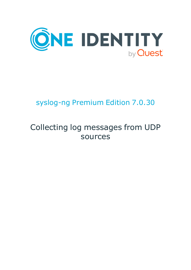

# syslog-ng Premium Edition 7.0.30

# Collecting log messages from UDP sources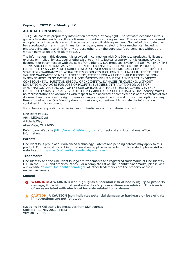#### **Copyright 2022 One Identity LLC.**

#### **ALL RIGHTS RESERVED.**

This guide contains proprietary information protected by copyright. The software described in this guide is furnished under a software license or nondisclosure agreement. This software may be used or copied only in accordance with the terms of the applicable agreement. No part of this guide may be reproduced or transmitted in any form or by any means, electronic or mechanical, including photocopying and recording for any purpose other than the purchaser's personal use without the written permission of One Identity LLC .

The information in this document is provided in connection with One Identity products. No license, express or implied, by estoppel or otherwise, to any intellectual property right is granted by this document or in connection with the sale of One Identity LLC products. EXCEPT AS SET FORTH IN THE TERMS AND CONDITIONS AS SPECIFIED IN THE LICENSE AGREEMENT FOR THIS PRODUCT, ONE IDENTITY ASSUMES NO LIABILITY WHATSOEVER AND DISCLAIMS ANY EXPRESS, IMPLIED OR STATUTORY WARRANTY RELATING TO ITS PRODUCTS INCLUDING, BUT NOT LIMITED TO, THE IMPLIED WARRANTY OF MERCHANTABILITY, FITNESS FOR A PARTICULAR PURPOSE, OR NON-INFRINGEMENT. IN NO EVENT SHALL ONE IDENTITY BE LIABLE FOR ANY DIRECT, INDIRECT, CONSEQUENTIAL, PUNITIVE, SPECIAL OR INCIDENTAL DAMAGES (INCLUDING, WITHOUT LIMITATION, DAMAGES FOR LOSS OF PROFITS, BUSINESS INTERRUPTION OR LOSS OF INFORMATION) ARISING OUT OF THE USE OR INABILITY TO USE THIS DOCUMENT, EVEN IF ONE IDENTITY HAS BEEN ADVISED OF THE POSSIBILITY OF SUCH DAMAGES. One Identity makes no representations or warranties with respect to the accuracy or completeness of the contents of this document and reserves the right to make changes to specifications and product descriptions at any time without notice. One Identity does not make any commitment to update the information contained in this document.

If you have any questions regarding your potential use of this material, contact:

One Identity LLC. Attn: LEGAL Dept 4 Polaris Way Aliso Viejo, CA 92656

Refer to our Web site [\(http://www.OneIdentity.com](http://www.oneidentity.com/)) for regional and international office information.

#### **Patents**

One Identity is proud of our advanced technology. Patents and pending patents may apply to this product. For the most current information about applicable patents for this product, please visit our website at [http://www.OneIdentity.com/legal/patents.aspx.](http://www.oneidentity.com/legal/patents.aspx)

#### **Trademarks**

One Identity and the One Identity logo are trademarks and registered trademarks of One Identity LLC. in the U.S.A. and other countries. For a complete list of One Identity trademarks, please visit our website at [www.OneIdentity.com/legal](http://www.oneidentity.com/legal). All other trademarks are the property of their respective owners.

#### **Legend**

**WARNING: A WARNING icon highlights a potential risk of bodily injury or property** œ **damage, for which industry-standard safety precautions are advised. This icon is often associated with electrical hazards related to hardware.**

**CAUTION: A CAUTION icon indicates potential damage to hardware or loss of data if instructions are not followed.**

syslog-ng PE Collecting log messages from UDP sources Updated - 11 May 2022, 14:23 Version - 7.0.30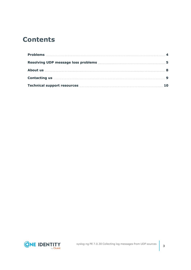## **Contents**

| Technical support resources <b>Manual Strategie and Strategie and Strategie and Strategie and Strategie and Strategie and Strategie and Strategie and Strategie and Strategie and Strategie and Strategie and Strategie and Stra</b> |  |
|--------------------------------------------------------------------------------------------------------------------------------------------------------------------------------------------------------------------------------------|--|

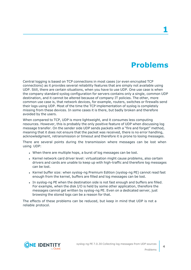## **Problems**

<span id="page-3-0"></span>Central logging is based on TCP connections in most cases (or even encrypted TCP connections) as it provides several reliability features that are simply not available using UDP. Still, there are certain situations, when you have to use UDP. One use case is when the company standard syslog configuration for servers contains only a single, common UDP destination, and it cannot be altered because of company IT policies. The other, more common use case is, that network devices, for example, routers, switches or firewalls send their logs using UDP. Most of the time the TCP implementation of syslog is completely missing from these devices. In some cases it is there, but badly broken and therefore avoided by the users.

When compared to TCP, UDP is more lightweight, and it consumes less computing resources. However, this is probably the only positive feature of UDP when discussing log message transfer. On the sender side UDP sends packets with a "fire and forget" method, meaning that it does not ensure that the packet was received, there is no error handling, acknowledgment, retransmission or timeout and therefore it is prone to losing messages.

There are several points during the transmission where messages can be lost when using UDP:

- . When there are multiple hops, a burst of log messages can be lost.
- Kernel network card driver level: virtualization might cause problems, also certain drivers and cards are unable to keep up with high-traffic and therefore log messages can be lost.
- Kernel buffer size: when syslog-ng Premium Edition (syslog-ng PE) cannot read fast enough from the kernel, buffers are filled and log messages can be lost.
- Th syslog-ng PE when the destination side is not fast enough and buffers are filled. For example, when the disk I/O is held by some other application, therefore the messages cannot get written by syslog-ng PE. Even on a dedicated server, just browsing the stored logs can be a reason for that.

The effects of these problems can be reduced, but keep in mind that UDP is not a reliable protocol.



**4**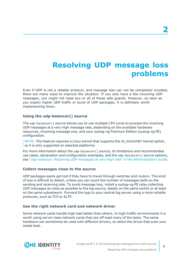## <span id="page-4-0"></span>**Resolving UDP message loss problems**

Even if UDP is not a reliable protocol, and message loss can not be completely avoided, there are many ways to improve the situation. If you only have a few incoming UDP messages, you might not need any or all of these safe guards. However, as soon as you expect higher UDP traffic or burst of UDP packages, it is definitely worth implementing them.

### **Using the udp-balancer() source**

The udp-balancer() source allows you to use multiple CPU cores to process the incoming UDP messages at a very high message rate, depending on the available hardware resources, incoming message size, and your syslog-ng Premium Edition (syslog-ng PE) configuration.

NOTE: This feature requires a Linux kernel that supports the SO\_REUSEPORT kernel option, so it is only supported on selected platforms.

For more information about the udp-balancer() source, its limitations and recommended use cases, declaration and configuration examples, and the udp-balancer() source options, see ["udp-balancer:](https://support.oneidentity.com/technical-documents/syslog-ng-premium-edition/7.0.30/administration-guide/collecting-log-messages-�-sources-and-source-drivers/udp-balancer-receiving-udp-messages-at-very-high-rate/) Receiving UDP messages at very high rate" in the Administration Guide.

### **Collect messages close to the source**

UDP packages easily get lost if they have to travel through switches and routers. This kind of loss is difficult to detect, unless you can count the number of messages both on the sending and receiving side. To avoid message loss, install a syslog-ng PE relay collecting UDP messages as close as possible to the log source, ideally on the same switch or at least on the same subnetwork. Forward the logs to your central log server using a more reliable protocols, such as TCP or ALTP.

### **Use the right network card and network driver**

Some network cards handle high load better than others. In high-traffic environments it is worth using server class network cards that can off-load many of the tasks. The same hardware can sometimes be used with different drivers, so select the driver that suits your needs best.

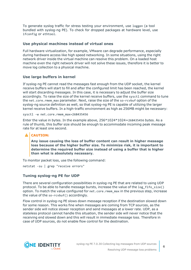To generate syslog traffic for stress testing your environment, use loggen (a tool bundled with syslog-ng PE). To check for dropped packages at hardware level, use ifconfig or ethtool.

### **Use physical machines instead of virtual ones**

Full hardware virtualization, for example, VMware can degrade performance, especially during hardware access like high speed networking. In some situations, using the right network driver inside the virtual machine can resolve this problem. On a loaded host machine even the right network driver will not solve these issues, therefore it is better to move log collection to a physical machine.

### **Use large buffers in kernel**

If syslog-ng PE cannot read the messages fast enough from the UDP socket, the kernel receive buffers will start to fill and after the configured limit has been reached, the kernel will start discarding messages. In this case, it is necessary to adjust the buffer size accordingly. To raise the size of the kernel receive buffers, use the sysct1 command to tune the net.core.rmem\_max parameter. Next, raise the size of the so-rcvbuf option of the syslog-ng source definition as well, so that syslog-ng PE is capable of utilizing the larger kernel receive buffers. In a high-traffic environment as high as 256MB might be necessary:

sysctl -w net.core.rmem\_max=268435456

Enter the value in bytes. In the example above,  $256*1024*1024=268435456$  bytes. As a rule of thumb, this buffer size should be enough to accommodate incoming peak message rate for at least one second.

### **CAUTION:**

**Any issue causing the loss of buffer content can result in higher message loss because of the higher buffer size. To minimize risk, it is important to determine the required buffer size instead of using a buffer that is higher than what is absolutely necessary.**

To monitor packet loss, use the following command:

netstat -su | grep "receive errors"

## **Tuning syslog-ng PE for UDP**

There are several configuration possibilities in syslog-ng PE that are related to using UDP protocol. To be able to handle message bursts, increase the value of the log fifo size() option. To match the value configured for net.core.rmem max in the previous step, increase the value of the so-rcvbuf() accordingly.

Flow control in syslog-ng PE slows down message reception if the destination slowed down for some reason. This works fine when messages are coming from TCP sources, as the sender side will notice slower reception and send messages at a lower rate. UDP, as a stateless protocol cannot handle this situation, the sender side will never notice that the receiving end slowed down and this will result in immediate message loss. Therefore in case of UDP sources, do not enable flow control for the destination.

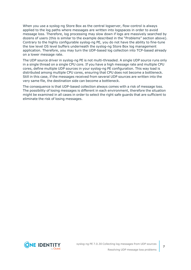When you use a syslog-ng Store Box as the central logserver, flow-control is always applied to the log paths where messages are written into logspaces in order to avoid message loss. Therefore, log processing may slow down if logs are massively searched by dozens of users (this is similar to the example described in the "Problems" section above). Contrary to the highly configurable syslog-ng PE, you do not have the ability to fine-tune the low level OS level buffers underneath the syslog-ng Store Box log management application. Therefore, you may turn the UDP-based log collection into TCP-based already on a lower message rate.

The UDP source driver in syslog-ng PE is not multi-threaded. A single UDP source runs only in a single thread on a single CPU core. If you have a high message rate and multiple CPU cores, define multiple UDP sources in your syslog-ng PE configuration. This way load is distributed among multiple CPU cores, ensuring that CPU does not become a bottleneck. Still in this case, if the messages received from several UDP sources are written into the very same file, the destination side can become a bottleneck.

The consequence is that UDP-based collection always comes with a risk of message loss. The possibility of losing messages is different in each environment, therefore the situation might be examined in all cases in order to select the right safe guards that are sufficient to eliminate the risk of losing messages.

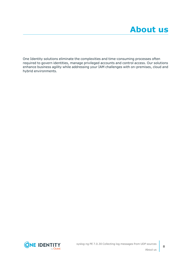<span id="page-7-0"></span>One Identity solutions eliminate the complexities and time-consuming processes often required to govern identities, manage privileged accounts and control access. Our solutions enhance business agility while addressing your IAM challenges with on-premises, cloud and hybrid environments.



**8**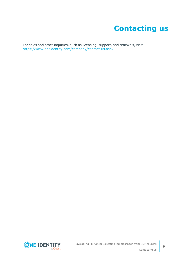## **Contacting us**

<span id="page-8-0"></span>For sales and other inquiries, such as licensing, support, and renewals, visit [https://www.oneidentity.com/company/contact-us.aspx.](https://www.oneidentity.com/company/contact-us.aspx)

**ONE IDENTITY** by **Quest**